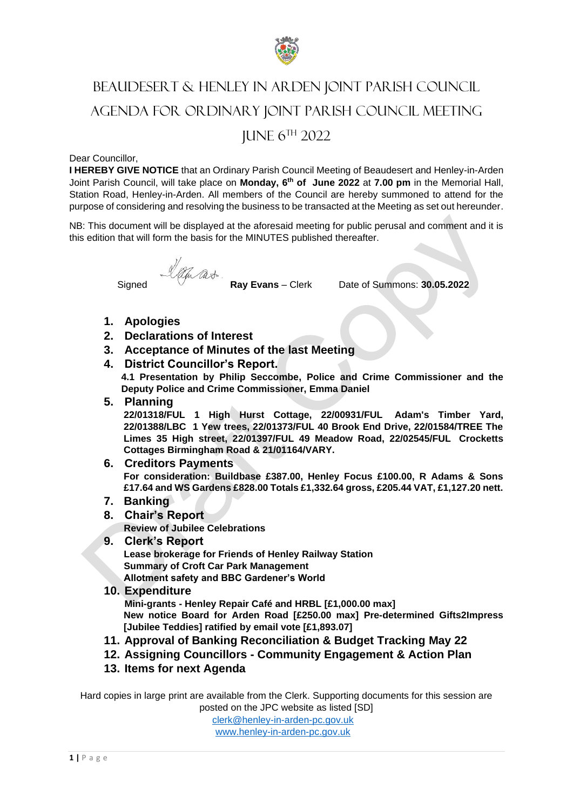

# BEAUDESERT & HENLEY IN ARDEN JOINT PARISH COUNCIL AGENDA FOR ORDINARY JOINT PARISH COUNCIL MEETING JUNE 6 TH 2022

#### Dear Councillor,

**I HEREBY GIVE NOTICE** that an Ordinary Parish Council Meeting of Beaudesert and Henley-in-Arden Joint Parish Council, will take place on **Monday, 6 th of June 2022** at **7.00 pm** in the Memorial Hall, Station Road, Henley-in-Arden. All members of the Council are hereby summoned to attend for the purpose of considering and resolving the business to be transacted at the Meeting as set out hereunder.

NB: This document will be displayed at the aforesaid meeting for public perusal and comment and it is this edition that will form the basis for the MINUTES published thereafter.

Signed *Lating Cast*<br>**Ray Evans** – Clerk Date of Summons: **30.05.2022** 

- **1. Apologies**
- **2. Declarations of Interest**
- **3. Acceptance of Minutes of the last Meeting**
- **4. District Councillor's Report.**

**4.1 Presentation by Philip Seccombe, Police and Crime Commissioner and the Deputy Police and Crime Commissioner, Emma Daniel**

**5. Planning**

**22/01318/FUL 1 High Hurst Cottage, 22/00931/FUL Adam's Timber Yard, 22/01388/LBC 1 Yew trees, 22/01373/FUL 40 Brook End Drive, 22/01584/TREE The Limes 35 High street, 22/01397/FUL 49 Meadow Road, 22/02545/FUL Crocketts Cottages Birmingham Road & 21/01164/VARY.**

**6. Creditors Payments For consideration: Buildbase £387.00, Henley Focus £100.00, R Adams & Sons £17.64 and WS Gardens £828.00 Totals £1,332.64 gross, £205.44 VAT, £1,127.20 nett.**

- **7. Banking**
- **8. Chair's Report**

**Review of Jubilee Celebrations**

- **9. Clerk's Report Lease brokerage for Friends of Henley Railway Station Summary of Croft Car Park Management Allotment safety and BBC Gardener's World**
- **10. Expenditure**

**Mini-grants - Henley Repair Café and HRBL [£1,000.00 max] New notice Board for Arden Road [£250.00 max] Pre-determined Gifts2Impress [Jubilee Teddies] ratified by email vote [£1,893.07]**

- **11. Approval of Banking Reconciliation & Budget Tracking May 22**
- **12. Assigning Councillors - Community Engagement & Action Plan**
- **13. Items for next Agenda**

Hard copies in large print are available from the Clerk. Supporting documents for this session are posted on the JPC website as listed [SD]

[clerk@henley-in-arden-pc.gov.uk](mailto:clerk@henley-in-arden-pc.gov.uk) [www.henley-in-arden-pc.gov.uk](http://www.henley-in-arden-pc.gov.uk/)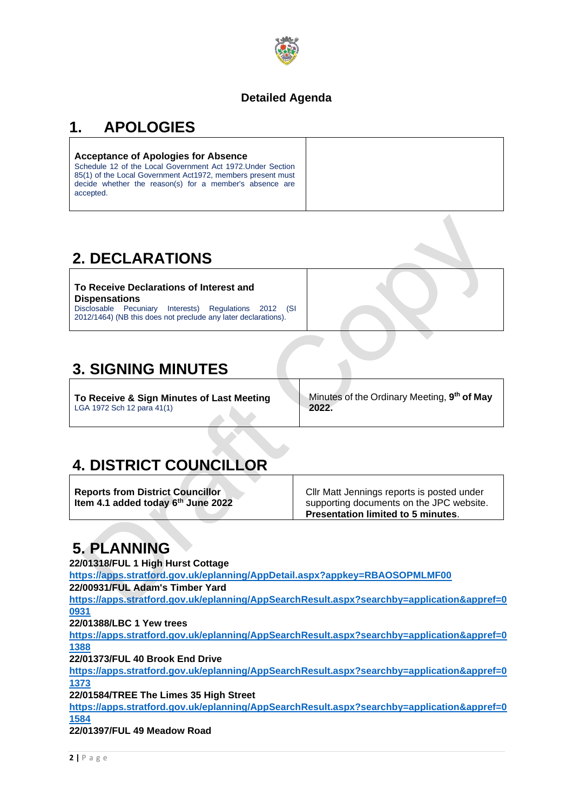

#### **Detailed Agenda**

### **1. APOLOGIES**

#### **Acceptance of Apologies for Absence**

Schedule 12 of the Local Government Act 1972.Under Section 85(1) of the Local Government Act1972, members present must decide whether the reason(s) for a member's absence are accepted.

### **2. DECLARATIONS**

**To Receive Declarations of Interest and Dispensations** Disclosable Pecuniary Interests) Regulations 2012 (SI 2012/1464) (NB this does not preclude any later declarations).

### **3. SIGNING MINUTES**

**To Receive & Sign Minutes of Last Meeting** LGA 1972 Sch 12 para 41(1)

Minutes of the Ordinary Meeting, **9 th of May 2022.**

### **4. DISTRICT COUNCILLOR**

**Reports from District Councillor Item 4.1 added today 6th June 2022** Cllr Matt Jennings reports is posted under supporting documents on the JPC website. **Presentation limited to 5 minutes**.

### **5. PLANNING**

**22/01318/FUL 1 High Hurst Cottage <https://apps.stratford.gov.uk/eplanning/AppDetail.aspx?appkey=RBAOSOPMLMF00> 22/00931/FUL Adam's Timber Yard [https://apps.stratford.gov.uk/eplanning/AppSearchResult.aspx?searchby=application&appref=0](https://apps.stratford.gov.uk/eplanning/AppSearchResult.aspx?searchby=application&appref=00931) [0931](https://apps.stratford.gov.uk/eplanning/AppSearchResult.aspx?searchby=application&appref=00931) 22/01388/LBC 1 Yew trees [https://apps.stratford.gov.uk/eplanning/AppSearchResult.aspx?searchby=application&appref=0](https://apps.stratford.gov.uk/eplanning/AppSearchResult.aspx?searchby=application&appref=01388) [1388](https://apps.stratford.gov.uk/eplanning/AppSearchResult.aspx?searchby=application&appref=01388) 22/01373/FUL 40 Brook End Drive [https://apps.stratford.gov.uk/eplanning/AppSearchResult.aspx?searchby=application&appref=0](https://apps.stratford.gov.uk/eplanning/AppSearchResult.aspx?searchby=application&appref=01373) [1373](https://apps.stratford.gov.uk/eplanning/AppSearchResult.aspx?searchby=application&appref=01373) 22/01584/TREE The Limes 35 High Street [https://apps.stratford.gov.uk/eplanning/AppSearchResult.aspx?searchby=application&appref=0](https://apps.stratford.gov.uk/eplanning/AppSearchResult.aspx?searchby=application&appref=01584) [1584](https://apps.stratford.gov.uk/eplanning/AppSearchResult.aspx?searchby=application&appref=01584) 22/01397/FUL 49 Meadow Road**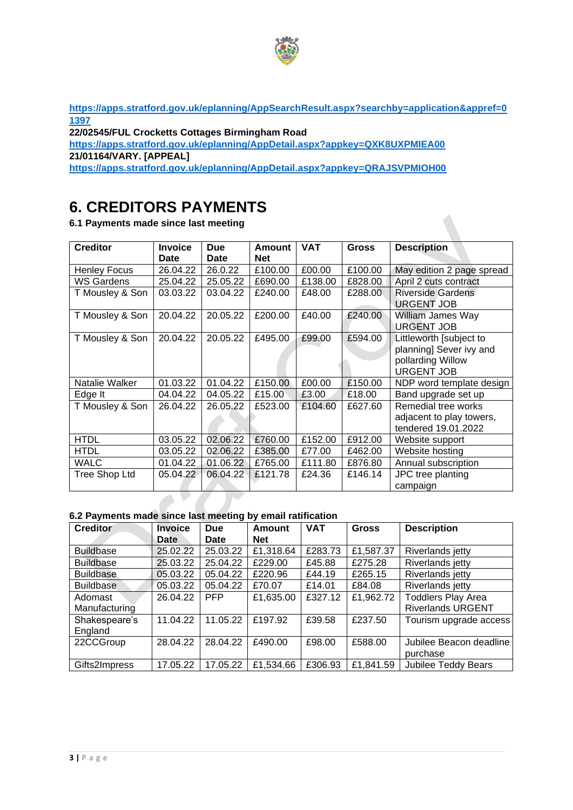

**[https://apps.stratford.gov.uk/eplanning/AppSearchResult.aspx?searchby=application&appref=0](https://apps.stratford.gov.uk/eplanning/AppSearchResult.aspx?searchby=application&appref=01397) [1397](https://apps.stratford.gov.uk/eplanning/AppSearchResult.aspx?searchby=application&appref=01397)**

**22/02545/FUL Crocketts Cottages Birmingham Road** 

**<https://apps.stratford.gov.uk/eplanning/AppDetail.aspx?appkey=QXK8UXPMIEA00> 21/01164/VARY. [APPEAL]**

**<https://apps.stratford.gov.uk/eplanning/AppDetail.aspx?appkey=QRAJSVPMIOH00>**

### **6. CREDITORS PAYMENTS**

**6.1 Payments made since last meeting**

| <b>Creditor</b>     | <b>Invoice</b><br><b>Date</b> | <b>Due</b><br>Date | Amount<br><b>Net</b> | <b>VAT</b> | <b>Gross</b> | <b>Description</b>                                                                           |  |
|---------------------|-------------------------------|--------------------|----------------------|------------|--------------|----------------------------------------------------------------------------------------------|--|
| <b>Henley Focus</b> | 26.04.22                      | 26.0.22            | £100.00              | £00.00     | £100.00      | May edition 2 page spread                                                                    |  |
| WS Gardens          | 25.04.22                      | 25.05.22           | £690.00              | £138.00    | £828.00      | April 2 cuts contract                                                                        |  |
| T Mousley & Son     | 03.03.22                      | 03.04.22           | £240.00              | £48.00     | £288.00      | <b>Riverside Gardens</b><br><b>URGENT JOB</b>                                                |  |
| T Mousley & Son     | 20.04.22                      | 20.05.22           | £200.00              | £40.00     | £240.00      | William James Way<br><b>URGENT JOB</b>                                                       |  |
| T Mousley & Son     | 20.04.22                      | 20.05.22           | £495.00              | £99.00     | £594.00      | Littleworth [subject to<br>planning] Sever ivy and<br>pollarding Willow<br><b>URGENT JOB</b> |  |
| Natalie Walker      | 01.03.22                      | 01.04.22           | £150.00              | £00.00     | £150.00      | NDP word template design                                                                     |  |
| Edge It             | 04.04.22                      | 04.05.22           | £15.00               | £3.00      | £18.00       | Band upgrade set up                                                                          |  |
| T Mousley & Son     | 26.04.22                      | 26.05.22           | £523.00              | £104.60    | £627.60      | Remedial tree works<br>adjacent to play towers,<br>tendered 19.01.2022                       |  |
| <b>HTDL</b>         | 03.05.22                      | 02.06.22           | £760.00              | £152.00    | £912.00      | Website support                                                                              |  |
| <b>HTDL</b>         | 03.05.22                      | 02.06.22           | £385.00              | £77.00     | £462.00      | Website hosting                                                                              |  |
| <b>WALC</b>         | 01.04.22                      | 01.06.22           | £765.00              | £111.80    | £876.80      | Annual subscription                                                                          |  |
| Tree Shop Ltd       | 05.04.22                      | 06.04.22           | £121.78              | £24.36     | £146.14      | JPC tree planting<br>campaign                                                                |  |

#### **6.2 Payments made since last meeting by email ratification**

| <b>Creditor</b>  | <b>Invoice</b> | <b>Due</b>  | <b>Amount</b> | <b>VAT</b> | <b>Gross</b> | <b>Description</b>        |
|------------------|----------------|-------------|---------------|------------|--------------|---------------------------|
|                  | Date           | <b>Date</b> | <b>Net</b>    |            |              |                           |
| <b>Buildbase</b> | 25.02.22       | 25.03.22    | £1,318.64     | £283.73    | £1,587.37    | Riverlands jetty          |
| <b>Buildbase</b> | 25.03.22       | 25.04.22    | £229.00       | £45.88     | £275.28      | Riverlands jetty          |
| <b>Buildbase</b> | 05.03.22       | 05.04.22    | £220.96       | £44.19     | £265.15      | Riverlands jetty          |
| <b>Buildbase</b> | 05.03.22       | 05.04.22    | £70.07        | £14.01     | £84.08       | Riverlands jetty          |
| Adomast          | 26.04.22       | <b>PFP</b>  | £1,635.00     | £327.12    | £1,962.72    | <b>Toddlers Play Area</b> |
| Manufacturing    |                |             |               |            |              | <b>Riverlands URGENT</b>  |
| Shakespeare's    | 11.04.22       | 11.05.22    | £197.92       | £39.58     | £237.50      | Tourism upgrade access    |
| England          |                |             |               |            |              |                           |
| 22CCGroup        | 28.04.22       | 28.04.22    | £490.00       | £98.00     | £588.00      | Jubilee Beacon deadline   |
|                  |                |             |               |            |              | purchase                  |
| Gifts2Impress    | 17.05.22       | 17.05.22    | £1,534.66     | £306.93    | £1,841.59    | Jubilee Teddy Bears       |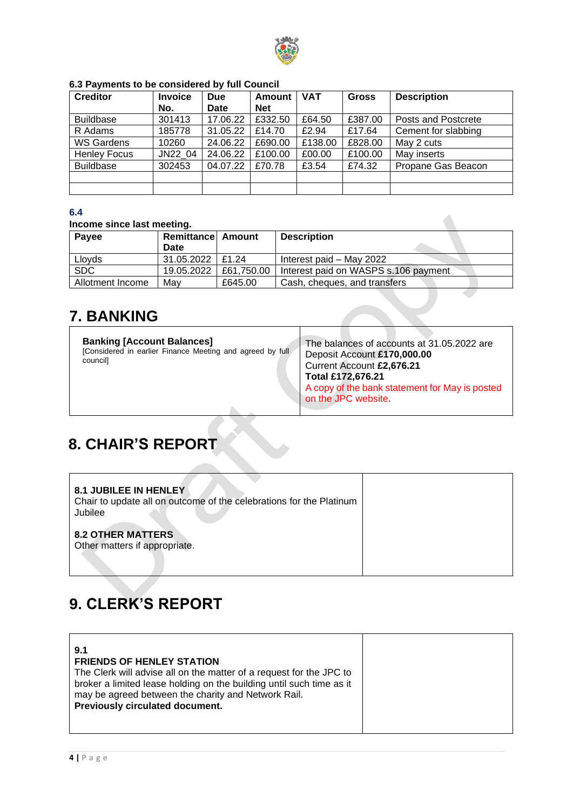

| <b>Creditor</b>     | <b>Invoice</b> | <b>Due</b> | Amount     | <b>VAT</b> | <b>Gross</b> | <b>Description</b>  |
|---------------------|----------------|------------|------------|------------|--------------|---------------------|
|                     | No.            | Date       | <b>Net</b> |            |              |                     |
| <b>Buildbase</b>    | 301413         | 17.06.22   | £332.50    | £64.50     | £387.00      | Posts and Postcrete |
| R Adams             | 185778         | 31.05.22   | £14.70     | £2.94      | £17.64       | Cement for slabbing |
| WS Gardens          | 10260          | 24.06.22   | £690.00    | £138.00    | £828.00      | May 2 cuts          |
| <b>Henley Focus</b> | JN22 04        | 24.06.22   | £100.00    | £00.00     | £100.00      | May inserts         |
| <b>Buildbase</b>    | 302453         | 04.07.22   | £70.78     | £3.54      | £74.32       | Propane Gas Beacon  |
|                     |                |            |            |            |              |                     |
|                     |                |            |            |            |              |                     |

#### **6.3 Payments to be considered by full Council**

#### **6.4**

#### **Income since last meeting.**

| Payee            | <b>Remittance Amount</b><br>Date |            | <b>Description</b>                   |
|------------------|----------------------------------|------------|--------------------------------------|
|                  |                                  |            |                                      |
| Lloyds           | $31.05.2022$   £1.24             |            | Interest paid - May 2022             |
| <b>SDC</b>       | 19.05.2022                       | £61,750.00 | Interest paid on WASPS s.106 payment |
| Allotment Income | Mav                              | £645.00    | Cash, cheques, and transfers         |
|                  |                                  |            |                                      |

 $\overline{\phantom{a}}$ 

### **7. BANKING**

| <b>Banking [Account Balances]</b><br>[Considered in earlier Finance Meeting and agreed by full<br>council] | The balances of accounts at 31.05.2022 are<br>Deposit Account £170,000.00<br>Current Account £2,676.21<br>Total £172,676.21<br>A copy of the bank statement for May is posted<br>on the JPC website. |
|------------------------------------------------------------------------------------------------------------|------------------------------------------------------------------------------------------------------------------------------------------------------------------------------------------------------|
|                                                                                                            |                                                                                                                                                                                                      |

### **8. CHAIR'S REPORT**

| <b>8.1 JUBILEE IN HENLEY</b><br>Chair to update all on outcome of the celebrations for the Platinum<br>Jubilee |  |
|----------------------------------------------------------------------------------------------------------------|--|
| <b>8.2 OTHER MATTERS</b><br>Other matters if appropriate.                                                      |  |

## **9. CLERK'S REPORT**

| The Clerk will advise all on the matter of a request for the JPC to<br>broker a limited lease holding on the building until such time as it |
|---------------------------------------------------------------------------------------------------------------------------------------------|
|---------------------------------------------------------------------------------------------------------------------------------------------|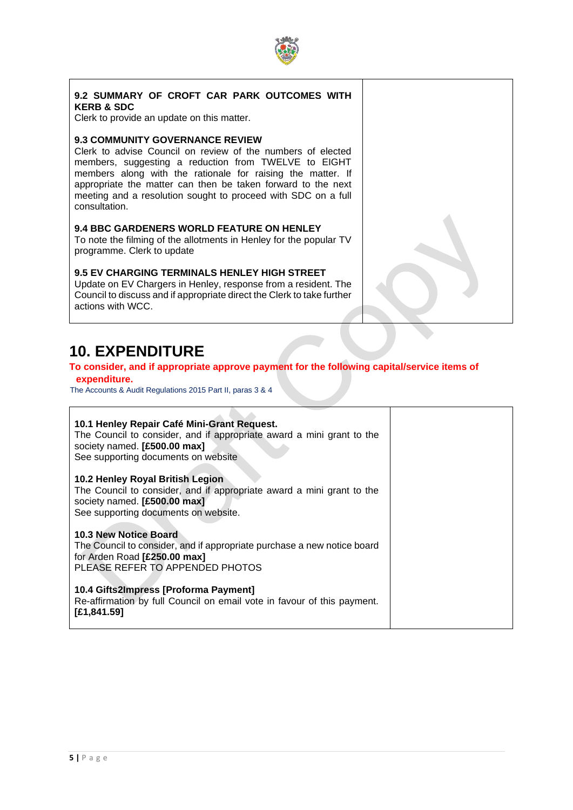

#### **9.2 SUMMARY OF CROFT CAR PARK OUTCOMES WITH KERB & SDC**

Clerk to provide an update on this matter.

#### **9.3 COMMUNITY GOVERNANCE REVIEW**

Clerk to advise Council on review of the numbers of elected members, suggesting a reduction from TWELVE to EIGHT members along with the rationale for raising the matter. If appropriate the matter can then be taken forward to the next meeting and a resolution sought to proceed with SDC on a full consultation.

#### **9.4 BBC GARDENERS WORLD FEATURE ON HENLEY**

To note the filming of the allotments in Henley for the popular TV programme. Clerk to update

#### **9.5 EV CHARGING TERMINALS HENLEY HIGH STREET**

Update on EV Chargers in Henley, response from a resident. The Council to discuss and if appropriate direct the Clerk to take further actions with WCC.

### **10. EXPENDITURE**

#### **To consider, and if appropriate approve payment for the following capital/service items of expenditure.**

The Accounts & Audit Regulations 2015 Part II, paras 3 & 4

| 10.1 Henley Repair Café Mini-Grant Request.<br>The Council to consider, and if appropriate award a mini grant to the<br>society named. [£500.00 max]<br>See supporting documents on website |  |
|---------------------------------------------------------------------------------------------------------------------------------------------------------------------------------------------|--|
| 10.2 Henley Royal British Legion<br>The Council to consider, and if appropriate award a mini grant to the<br>society named. [£500.00 max]<br>See supporting documents on website.           |  |
| 10.3 New Notice Board<br>The Council to consider, and if appropriate purchase a new notice board<br>for Arden Road [£250.00 max]<br>PLEASE REFER TO APPENDED PHOTOS                         |  |
| 10.4 Gifts2Impress [Proforma Payment]<br>Re-affirmation by full Council on email vote in favour of this payment.<br>[£1,841.59]                                                             |  |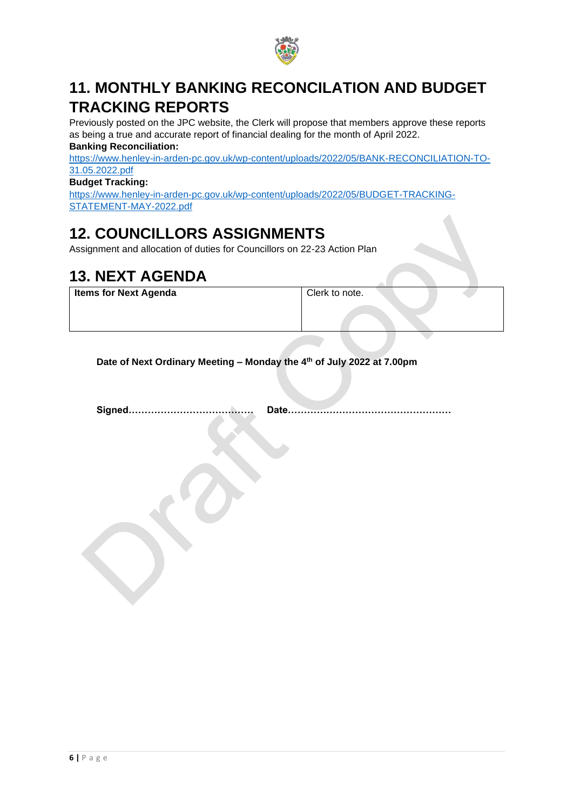

### **11. MONTHLY BANKING RECONCILATION AND BUDGET TRACKING REPORTS**

Previously posted on the JPC website, the Clerk will propose that members approve these reports as being a true and accurate report of financial dealing for the month of April 2022. **Banking Reconciliation:**

[https://www.henley-in-arden-pc.gov.uk/wp-content/uploads/2022/05/BANK-RECONCILIATION-TO-](https://www.henley-in-arden-pc.gov.uk/wp-content/uploads/2022/05/BANK-RECONCILIATION-TO-31.05.2022.pdf)[31.05.2022.pdf](https://www.henley-in-arden-pc.gov.uk/wp-content/uploads/2022/05/BANK-RECONCILIATION-TO-31.05.2022.pdf)

**Budget Tracking:**

[https://www.henley-in-arden-pc.gov.uk/wp-content/uploads/2022/05/BUDGET-TRACKING-](https://www.henley-in-arden-pc.gov.uk/wp-content/uploads/2022/05/BUDGET-TRACKING-STATEMENT-MAY-2022.pdf)[STATEMENT-MAY-2022.pdf](https://www.henley-in-arden-pc.gov.uk/wp-content/uploads/2022/05/BUDGET-TRACKING-STATEMENT-MAY-2022.pdf)

### **12. COUNCILLORS ASSIGNMENTS**

Assignment and allocation of duties for Councillors on 22-23 Action Plan

### **13. NEXT AGENDA**

**Items for Next Agenda** Clerk to note.

**Date of Next Ordinary Meeting – Monday the 4 th of July 2022 at 7.00pm**

**Signed………………………………… Date……………………………………………**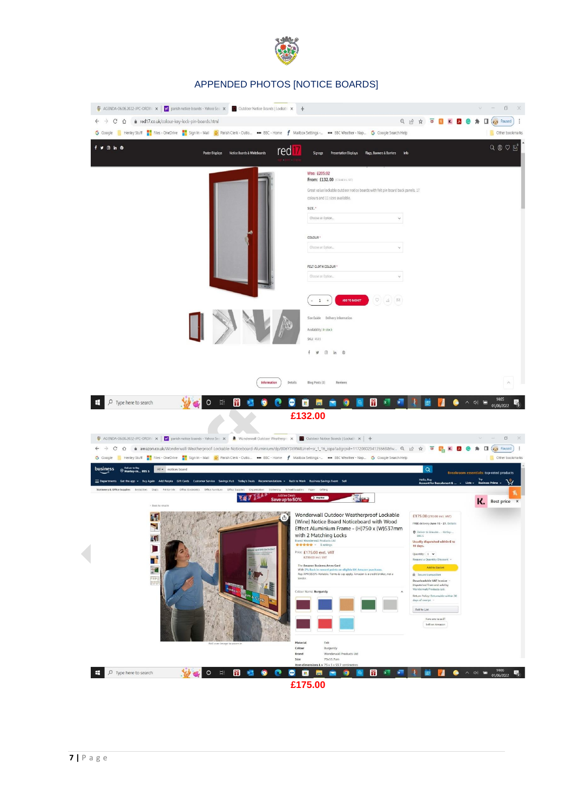

#### APPENDED PHOTOS [NOTICE BOARDS]